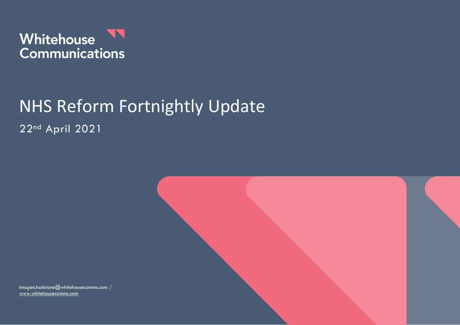

# NHS Reform Fortnightly Update 22nd April 2021

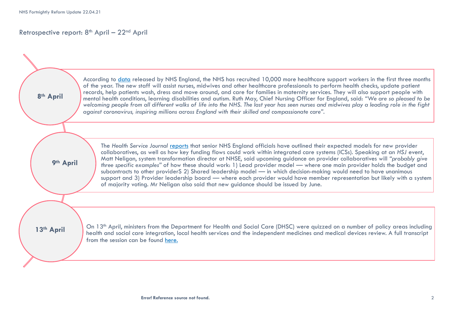## Retrospective report:  $8<sup>th</sup>$  April –  $22<sup>nd</sup>$  April

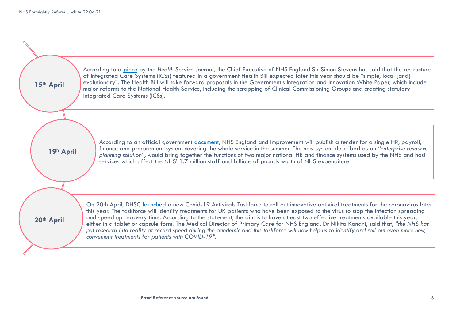| 15th April | According to a piece by the Health Service Journal, the Chief Executive of NHS England Sir Simon Stevens has said that the restructure<br>of Integrated Care Systems (ICSs) featured in a government Health Bill expected later this year should be "simple, local [and]<br>evolutionary". The Health Bill will take forward proposals in the Government's Integration and Innovation White Paper, which include<br>major reforms to the National Health Service, including the scrapping of Clinical Commissioning Groups and creating statutory<br>Integrated Care Systems (ICSs).                                                                                                                                                                         |
|------------|--------------------------------------------------------------------------------------------------------------------------------------------------------------------------------------------------------------------------------------------------------------------------------------------------------------------------------------------------------------------------------------------------------------------------------------------------------------------------------------------------------------------------------------------------------------------------------------------------------------------------------------------------------------------------------------------------------------------------------------------------------------|
| 19h April  | According to an official government document, NHS England and Improvement will publish a tender for a single HR, payroll,<br>finance and procurement system covering the whole service in the summer. The new system described as an "enterprise resource                                                                                                                                                                                                                                                                                                                                                                                                                                                                                                    |
|            | planning solution", would bring together the functions of two major national HR and finance systems used by the NHS and host<br>services which affect the NHS' 1.7 million staff and billions of pounds worth of NHS expenditure.                                                                                                                                                                                                                                                                                                                                                                                                                                                                                                                            |
| 20th April | On 20th April, DHSC launched a new Covid-19 Antivirals Taskforce to roll out innovative antiviral treatments for the coronavirus later<br>this year. The taskforce will identify treatments for UK patients who have been exposed to the virus to stop the infection spreading<br>and speed up recovery time. According to the statement, the aim is to have atleast two effective treatments available this year,<br>either in a tablet or capsule form. The Medical Director of Primary Care for NHS England, Dr Nikita Kanani, said that, "the NHS has<br>put research into reality at record speed during the pandemic and this taskforce will now help us to identify and roll out even more new,<br>convenient treatments for patients with COVID-19". |
|            |                                                                                                                                                                                                                                                                                                                                                                                                                                                                                                                                                                                                                                                                                                                                                              |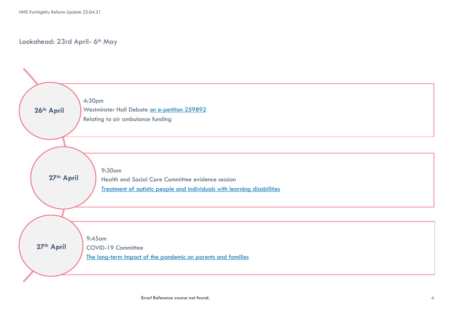## Lookahead: 23rd April- 6th May



**Error! Reference source not found.** 4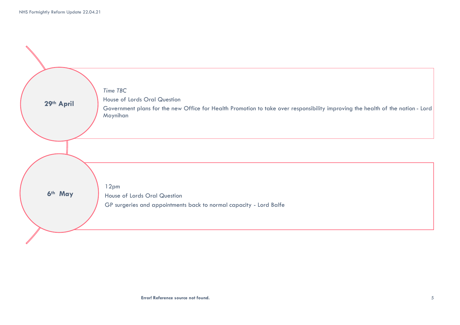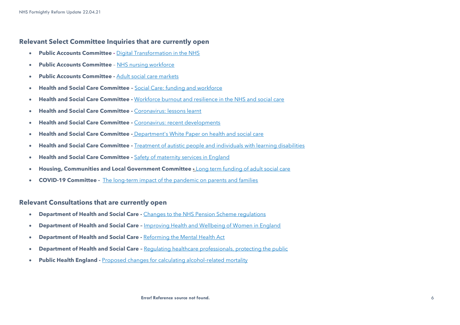### **Relevant Select Committee Inquiries that are currently open**

- **Public Accounts Committee -** [Digital Transformation in the NHS](https://committees.parliament.uk/work/479/digital-transformation-in-the-nhs/)
- **Public Accounts Committee** [NHS nursing workforce](https://committees.parliament.uk/work/373/nhs-nursing-workforce/)
- **Public Accounts Committee -** [Adult social care markets](https://committees.parliament.uk/work/1135/adult-social-care-markets/)
- **Health and Social Care Committee –** [Social Care: funding and workforce](https://committees.parliament.uk/work/136/social-care-funding-and-workforce/)
- **Health and Social Care Committee -** [Workforce burnout and resilience in the NHS and social care](https://committees.parliament.uk/work/494/workforce-burnout-and-resilience-in-the-nhs-and-social-care/)
- **Health and Social Care Committee -** [Coronavirus: lessons learnt](https://committees.parliament.uk/work/657/coronavirus-lessons-learnt/)
- **Health and Social Care Committee -** [Coronavirus: recent developments](https://committees.parliament.uk/work/930/coronavirus-recent-developments/)
- **Health and Social Care Committee -** [Department's White Paper on health and social care](https://committees.parliament.uk/work/1068/departments-white-paper-on-health-and-social-care/)
- **Health and Social Care Committee -** [Treatment of autistic people and individuals with learning disabilities](https://committees.parliament.uk/work/1026/treatment-of-autistic-people-and-individuals-with-learning-disabilities/)
- **Health and Social Care Committee -** [Safety of maternity services in England](https://committees.parliament.uk/work/472/safety-of-maternity-services-in-england/)
- **Housing, Communities and Local Government Committee -** [Long term funding of adult social care](https://committees.parliament.uk/work/1080/long-term-funding-of-adult-social-care/)
- **COVID-19 Committee -** [The long-term impact of the pandemic on parents and families](https://committees.parliament.uk/work/1121/the-longterm-impact-of-the-pandemic-on-parents-and-families/)

#### **Relevant Consultations that are currently open**

- **Department of Health and Social Care -** [Changes to the NHS Pension Scheme regulations](https://www.gov.uk/government/consultations/changes-to-the-nhs-pension-scheme-regulations)
- **Department of Health and Social Care –** [Improving Health and Wellbeing of Women in England](https://www.gov.uk/government/news/government-launches-call-for-evidence-to-improve-health-and-wellbeing-of-women-in-england)
- **Department of Health and Social Care -** [Reforming the Mental Health Act](https://www.gov.uk/government/consultations/reforming-the-mental-health-act)
- **Department of Health and Social Care –** [Regulating healthcare professionals, protecting the public](https://www.gov.uk/government/consultations/regulating-healthcare-professionals-protecting-the-public)
- **Public Health England -** [Proposed changes for calculating alcohol-related mortality](https://www.gov.uk/government/consultations/proposed-changes-for-calculating-alcohol-related-mortality)